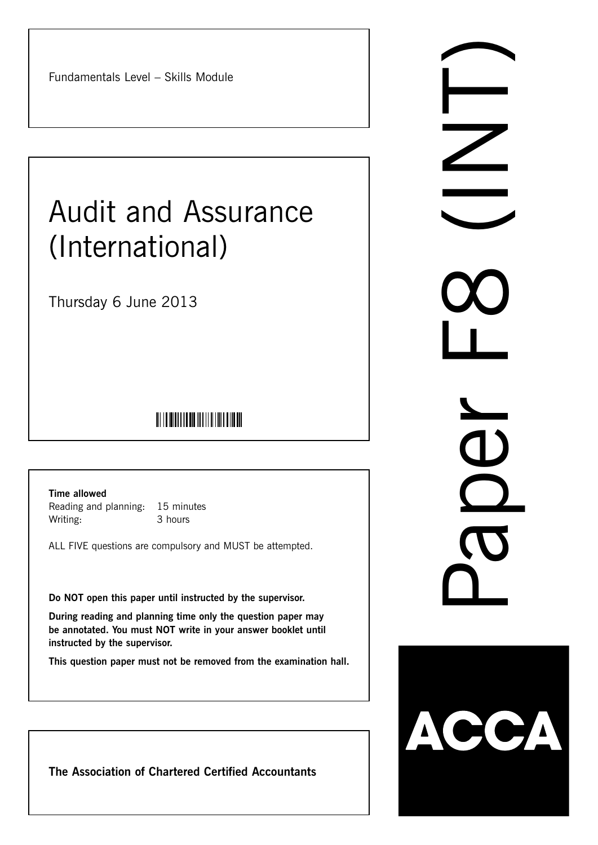Fundamentals Level – Skills Module

# Audit and Assurance (International)

Thursday 6 June 2013

# 

**Time allowed**

Reading and planning: 15 minutes Writing: 3 hours

ALL FIVE questions are compulsory and MUST be attempted.

**Do NOT open this paper until instructed by the supervisor.**

**During reading and planning time only the question paper may be annotated. You must NOT write in your answer booklet until instructed by the supervisor.**

**This question paper must not be removed from the examination hall.**

**The Association of Chartered Certified Accountants**

Naper Co 1'  $\bigcap$ 

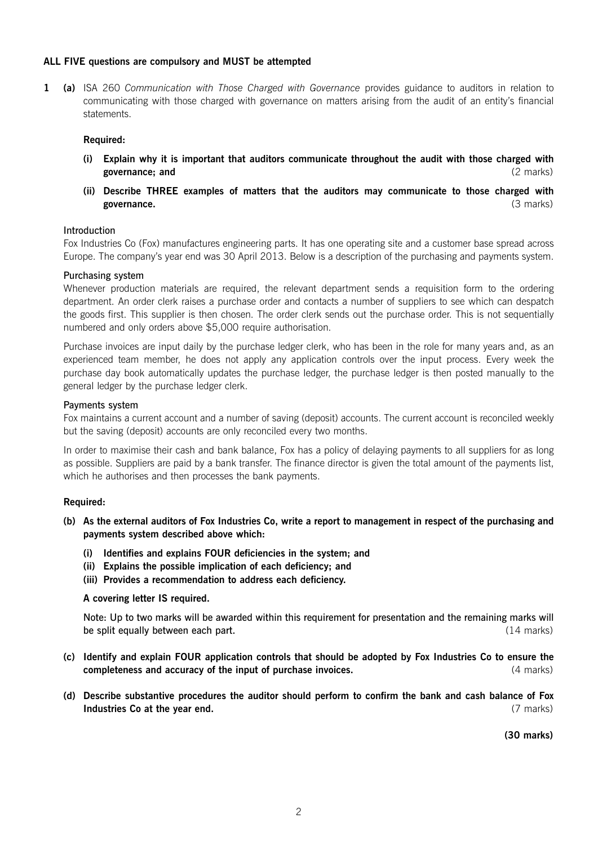# **ALL FIVE questions are compulsory and MUST be attempted**

**1 (a)** ISA 260 *Communication with Those Charged with Governance* provides guidance to auditors in relation to communicating with those charged with governance on matters arising from the audit of an entity's financial statements.

#### **Required:**

- **(i) Explain why it is important that auditors communicate throughout the audit with those charged with governance; and** (2 marks)
- **(ii) Describe THREE examples of matters that the auditors may communicate to those charged with governance.** (3 marks)

#### **Introduction**

Fox Industries Co (Fox) manufactures engineering parts. It has one operating site and a customer base spread across Europe. The company's year end was 30 April 2013. Below is a description of the purchasing and payments system.

#### Purchasing system

Whenever production materials are required, the relevant department sends a requisition form to the ordering department. An order clerk raises a purchase order and contacts a number of suppliers to see which can despatch the goods first. This supplier is then chosen. The order clerk sends out the purchase order. This is not sequentially numbered and only orders above \$5,000 require authorisation.

Purchase invoices are input daily by the purchase ledger clerk, who has been in the role for many years and, as an experienced team member, he does not apply any application controls over the input process. Every week the purchase day book automatically updates the purchase ledger, the purchase ledger is then posted manually to the general ledger by the purchase ledger clerk.

#### Payments system

Fox maintains a current account and a number of saving (deposit) accounts. The current account is reconciled weekly but the saving (deposit) accounts are only reconciled every two months.

In order to maximise their cash and bank balance, Fox has a policy of delaying payments to all suppliers for as long as possible. Suppliers are paid by a bank transfer. The finance director is given the total amount of the payments list, which he authorises and then processes the bank payments.

# **Required:**

- **(b) As the external auditors of Fox Industries Co, write a report to management in respect of the purchasing and payments system described above which:**
	- **(i) Identifies and explains FOUR deficiencies in the system; and**
	- **(ii) Explains the possible implication of each deficiency; and**
	- **(iii) Provides a recommendation to address each deficiency.**

#### **A covering letter IS required.**

Note: Up to two marks will be awarded within this requirement for presentation and the remaining marks will be split equally between each part.  $(14 \text{ marks})$ 

- **(c) Identify and explain FOUR application controls that should be adopted by Fox Industries Co to ensure the completeness and accuracy of the input of purchase invoices. Completeness and accuracy of the input of purchase invoices. Completeness and accuracy of the input of purchase invoices.**
- **(d) Describe substantive procedures the auditor should perform to confirm the bank and cash balance of Fox Industries Co at the year end.** (7 marks)

**(30 marks)**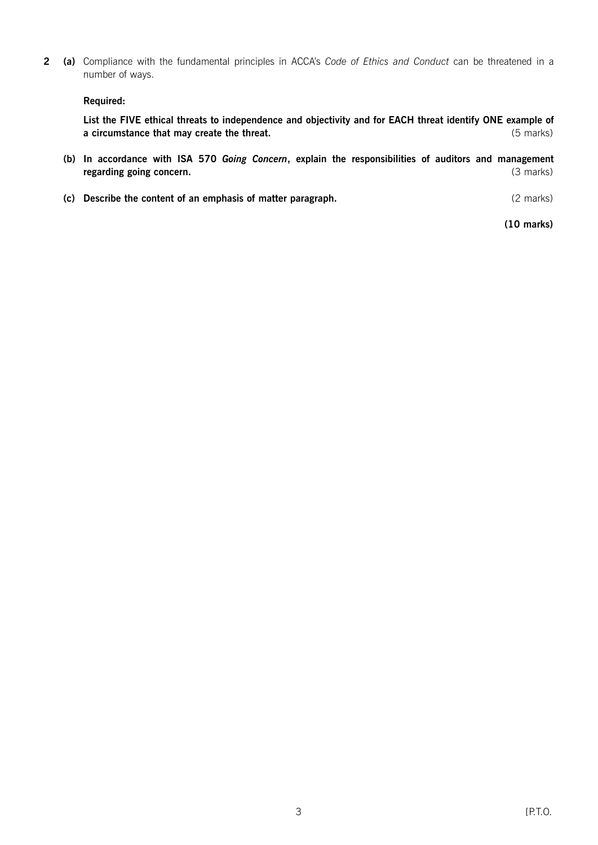**2 (a)** Compliance with the fundamental principles in ACCA's *Code of Ethics and Conduct* can be threatened in a number of ways.

#### **Required:**

**List the FIVE ethical threats to independence and objectivity and for EACH threat identify ONE example of a circumstance that may create the threat.** (5 marks)

- **(b) In accordance with ISA 570** *Going Concern***, explain the responsibilities of auditors and management regarding going concern.** (3 marks)
- **(c) Describe the content of an emphasis of matter paragraph.** (2 marks)

**(10 marks)**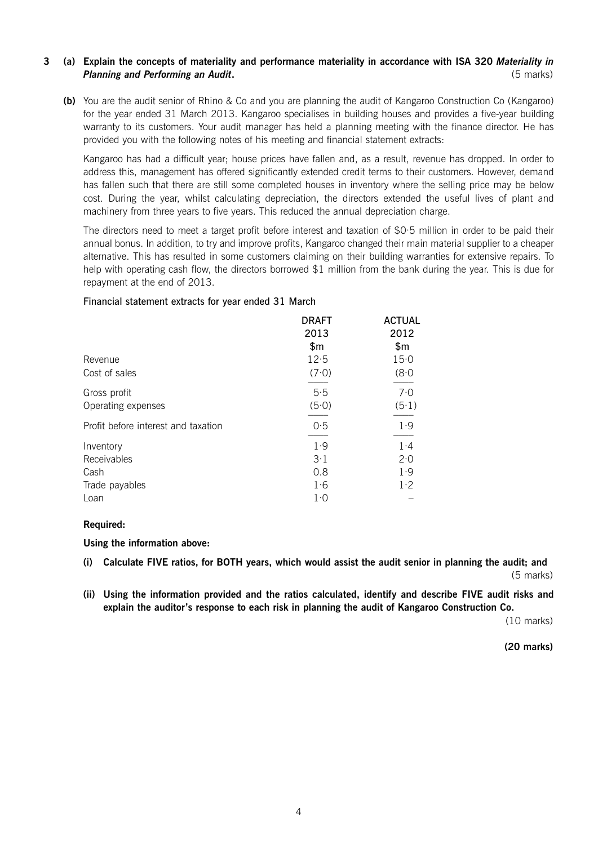# **3 (a) Explain the concepts of materiality and performance materiality in accordance with ISA 320** *Materiality in Planning and Performing an Audit***.** (5 marks)

**(b)** You are the audit senior of Rhino & Co and you are planning the audit of Kangaroo Construction Co (Kangaroo) for the year ended 31 March 2013. Kangaroo specialises in building houses and provides a five-year building warranty to its customers. Your audit manager has held a planning meeting with the finance director. He has provided you with the following notes of his meeting and financial statement extracts:

Kangaroo has had a difficult year; house prices have fallen and, as a result, revenue has dropped. In order to address this, management has offered significantly extended credit terms to their customers. However, demand has fallen such that there are still some completed houses in inventory where the selling price may be below cost. During the year, whilst calculating depreciation, the directors extended the useful lives of plant and machinery from three years to five years. This reduced the annual depreciation charge.

The directors need to meet a target profit before interest and taxation of \$0·5 million in order to be paid their annual bonus. In addition, to try and improve profits, Kangaroo changed their main material supplier to a cheaper alternative. This has resulted in some customers claiming on their building warranties for extensive repairs. To help with operating cash flow, the directors borrowed \$1 million from the bank during the year. This is due for repayment at the end of 2013.

#### Financial statement extracts for year ended 31 March

|                                     | <b>DRAFT</b><br>2013<br>\$m\$ | <b>ACTUAL</b><br>2012<br>\$m |
|-------------------------------------|-------------------------------|------------------------------|
| Revenue                             | 12.5                          | 15·0                         |
| Cost of sales                       | (7.0)                         | (8.0)                        |
| Gross profit<br>Operating expenses  | 5.5<br>(5.0)                  | 7·0<br>(5.1)                 |
| Profit before interest and taxation | 0.5                           | 1.9                          |
| Inventory                           | 1.9                           | 1.4                          |
| Receivables                         | $3 \cdot 1$                   | 2.0                          |
| Cash                                | 0.8                           | 1.9                          |
| Trade payables                      | 1·6                           | 1·2                          |
| Loan                                | 1·0                           |                              |

#### **Required:**

**Using the information above:**

**(i) Calculate FIVE ratios, for BOTH years, which would assist the audit senior in planning the audit; and** (5 marks)

**(ii) Using the information provided and the ratios calculated, identify and describe FIVE audit risks and explain the auditor's response to each risk in planning the audit of Kangaroo Construction Co.**

(10 marks)

**(20 marks)**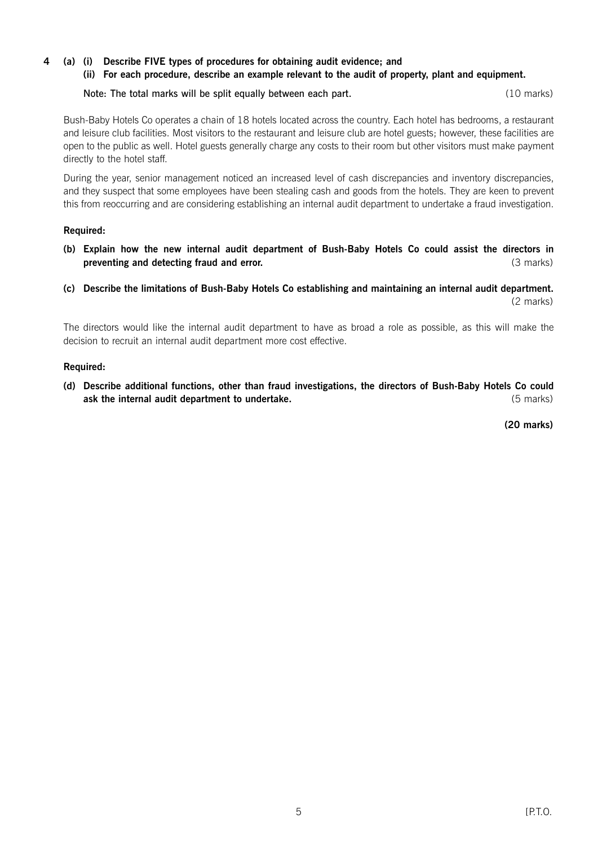# **4 (a) (i) Describe FIVE types of procedures for obtaining audit evidence; and**

**(ii) For each procedure, describe an example relevant to the audit of property, plant and equipment.**

Note: The total marks will be split equally between each part. (10 marks) (10 marks)

Bush-Baby Hotels Co operates a chain of 18 hotels located across the country. Each hotel has bedrooms, a restaurant and leisure club facilities. Most visitors to the restaurant and leisure club are hotel guests; however, these facilities are open to the public as well. Hotel guests generally charge any costs to their room but other visitors must make payment directly to the hotel staff.

During the year, senior management noticed an increased level of cash discrepancies and inventory discrepancies, and they suspect that some employees have been stealing cash and goods from the hotels. They are keen to prevent this from reoccurring and are considering establishing an internal audit department to undertake a fraud investigation.

#### **Required:**

- **(b) Explain how the new internal audit department of Bush-Baby Hotels Co could assist the directors in preventing and detecting fraud and error.** (3 marks)
- **(c) Describe the limitations of Bush-Baby Hotels Co establishing and maintaining an internal audit department.** (2 marks)

The directors would like the internal audit department to have as broad a role as possible, as this will make the decision to recruit an internal audit department more cost effective.

#### **Required:**

**(d) Describe additional functions, other than fraud investigations, the directors of Bush-Baby Hotels Co could ask the internal audit department to undertake.** (5 marks)

# **(20 marks)**